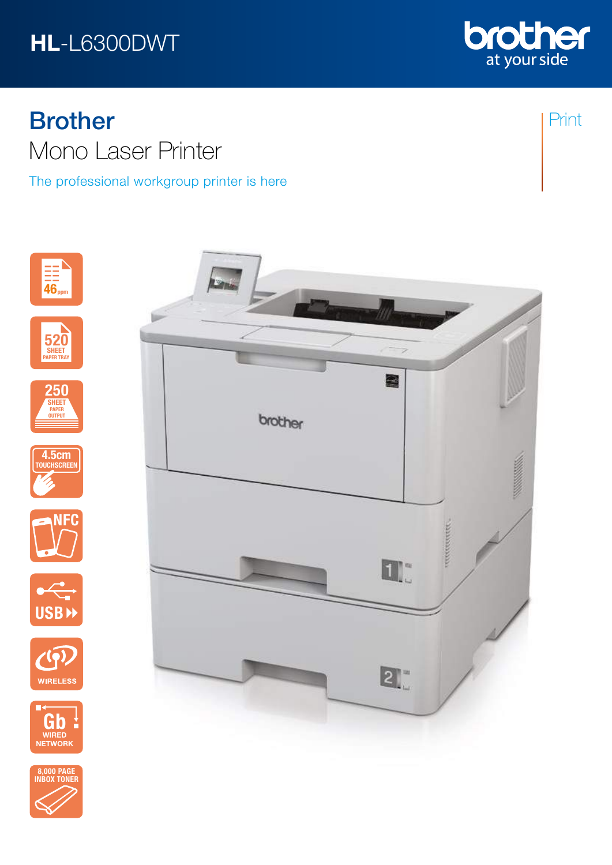## HL-L6300DWT



The professional workgroup printer is here





















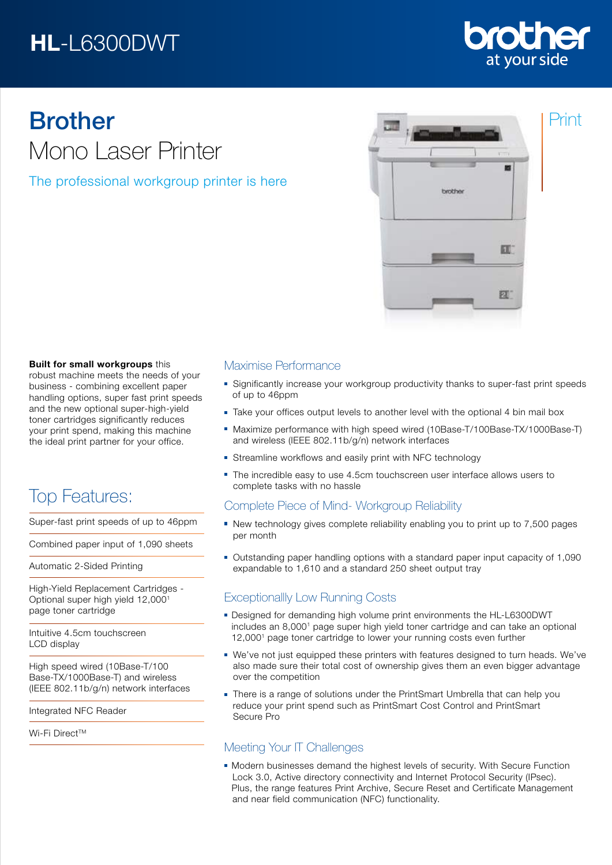## HL-L6300DWT



Print

# Brother Mono Laser Printer

The professional workgroup printer is here



### Built for small workgroups this

robust machine meets the needs of your business - combining excellent paper handling options, super fast print speeds and the new optional super-high-yield toner cartridges significantly reduces your print spend, making this machine the ideal print partner for your office.

## Top Features:

Super-fast print speeds of up to 46ppm

Combined paper input of 1,090 sheets

Automatic 2-Sided Printing

High-Yield Replacement Cartridges - Optional super high yield 12,0001 page toner cartridge

Intuitive 4.5cm touchscreen LCD display

High speed wired (10Base-T/100 Base-TX/1000Base-T) and wireless (IEEE 802.11b/g/n) network interfaces

Integrated NFC Reader

Wi-Fi Direct™

## Maximise Performance

- Significantly increase your workgroup productivity thanks to super-fast print speeds of up to 46ppm
- Take your offices output levels to another level with the optional 4 bin mail box
- Maximize performance with high speed wired (10Base-T/100Base-TX/1000Base-T) and wireless (IEEE 802.11b/g/n) network interfaces
- Streamline workflows and easily print with NFC technology
- The incredible easy to use 4.5cm touchscreen user interface allows users to complete tasks with no hassle

## Complete Piece of Mind- Workgroup Reliability

- New technology gives complete reliability enabling you to print up to 7,500 pages per month
- Outstanding paper handling options with a standard paper input capacity of 1,090 expandable to 1,610 and a standard 250 sheet output tray

## Exceptionallly Low Running Costs

- **Designed for demanding high volume print environments the HL-L6300DWT** includes an 8,0001 page super high yield toner cartridge and can take an optional 12,0001 page toner cartridge to lower your running costs even further
- We've not just equipped these printers with features designed to turn heads. We've also made sure their total cost of ownership gives them an even bigger advantage over the competition
- There is a range of solutions under the PrintSmart Umbrella that can help you reduce your print spend such as PrintSmart Cost Control and PrintSmart Secure Pro

## Meeting Your IT Challenges

**Modern businesses demand the highest levels of security. With Secure Function** Lock 3.0, Active directory connectivity and Internet Protocol Security (IPsec). Plus, the range features Print Archive, Secure Reset and Certificate Management and near field communication (NFC) functionality.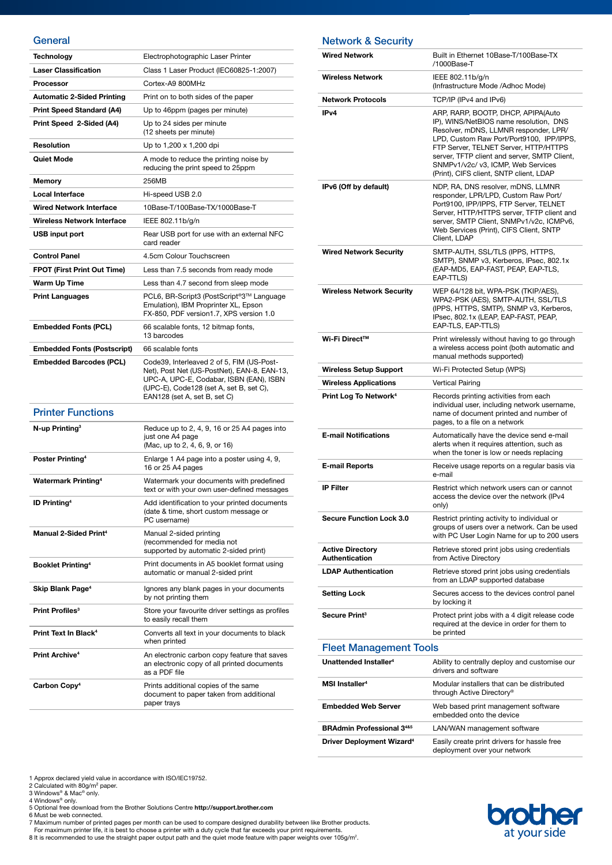#### **General**

| Technology                              | Electrophotographic Laser Printer                                                                                                                                                                              |
|-----------------------------------------|----------------------------------------------------------------------------------------------------------------------------------------------------------------------------------------------------------------|
| <b>Laser Classification</b>             |                                                                                                                                                                                                                |
|                                         | Class 1 Laser Product (IEC60825-1:2007)                                                                                                                                                                        |
| Processor                               | Cortex-A9 800MHz                                                                                                                                                                                               |
| <b>Automatic 2-Sided Printing</b>       | Print on to both sides of the paper                                                                                                                                                                            |
| <b>Print Speed Standard (A4)</b>        | Up to 46ppm (pages per minute)                                                                                                                                                                                 |
| Print Speed 2-Sided (A4)                | Up to 24 sides per minute<br>(12 sheets per minute)                                                                                                                                                            |
| Resolution                              | Up to 1,200 x 1,200 dpi                                                                                                                                                                                        |
| Quiet Mode                              | A mode to reduce the printing noise by<br>reducing the print speed to 25ppm                                                                                                                                    |
| <b>Memory</b>                           | 256MB                                                                                                                                                                                                          |
| <b>Local Interface</b>                  | Hi-speed USB 2.0                                                                                                                                                                                               |
| <b>Wired Network Interface</b>          | 10Base-T/100Base-TX/1000Base-T                                                                                                                                                                                 |
| <b>Wireless Network Interface</b>       | IEEE 802.11b/g/n                                                                                                                                                                                               |
| USB input port                          | Rear USB port for use with an external NFC<br>card reader                                                                                                                                                      |
| <b>Control Panel</b>                    | 4.5cm Colour Touchscreen                                                                                                                                                                                       |
| <b>FPOT (First Print Out Time)</b>      | Less than 7.5 seconds from ready mode                                                                                                                                                                          |
| Warm Up Time                            | Less than 4.7 second from sleep mode                                                                                                                                                                           |
| <b>Print Languages</b>                  | PCL6, BR-Script3 (PostScript®3™ Language<br>Emulation), IBM Proprinter XL, Epson<br>FX-850, PDF version1.7, XPS version 1.0                                                                                    |
| <b>Embedded Fonts (PCL)</b>             | 66 scalable fonts, 12 bitmap fonts,<br>13 barcodes                                                                                                                                                             |
| <b>Embedded Fonts (Postscript)</b>      | 66 scalable fonts                                                                                                                                                                                              |
| <b>Embedded Barcodes (PCL)</b>          | Code39, Interleaved 2 of 5, FIM (US-Post-<br>Net), Post Net (US-PostNet), EAN-8, EAN-13,<br>UPC-A, UPC-E, Codabar, ISBN (EAN), ISBN<br>(UPC-E), Code128 (set A, set B, set C),<br>EAN128 (set A, set B, set C) |
| <b>Printer Functions</b>                |                                                                                                                                                                                                                |
| N-up Printing <sup>3</sup>              | Reduce up to 2, 4, 9, 16 or 25 A4 pages into                                                                                                                                                                   |
|                                         | just one A4 page<br>(Mac, up to 2, 4, 6, 9, or 16)                                                                                                                                                             |
| Poster Printing <sup>4</sup>            | Enlarge 1 A4 page into a poster using 4, 9,<br>16 or 25 A4 pages                                                                                                                                               |
| <b>Watermark Printing4</b>              | Watermark your documents with predefined<br>text or with your own user-defined messages                                                                                                                        |
| <b>ID Printing<sup>4</sup></b>          | Add identification to your printed documents<br>(date & time, short custom message or<br>PC username)                                                                                                          |
| <b>Manual 2-Sided Print<sup>4</sup></b> | Manual 2-sided printing<br>(recommended for media not<br>supported by automatic 2-sided print)                                                                                                                 |
| <b>Booklet Printing4</b>                | Print documents in A5 booklet format using<br>automatic or manual 2-sided print                                                                                                                                |
| Skip Blank Page <sup>4</sup>            | Ignores any blank pages in your documents<br>by not printing them                                                                                                                                              |
| Print Profiles <sup>3</sup>             | Store your favourite driver settings as profiles<br>to easily recall them                                                                                                                                      |
| Print Text In Black <sup>4</sup>        | Converts all text in your documents to black<br>when printed                                                                                                                                                   |
| <b>Print Archive<sup>4</sup></b>        | An electronic carbon copy feature that saves<br>an electronic copy of all printed documents<br>as a PDF file                                                                                                   |
| Carbon Copy <sup>4</sup>                | Prints additional copies of the same                                                                                                                                                                           |

### Network & Security

| <b>Wired Network</b>                             | Built in Ethernet 10Base-T/100Base-TX<br>/1000Base-T                                                                                                                                                                                                                                                                                        |
|--------------------------------------------------|---------------------------------------------------------------------------------------------------------------------------------------------------------------------------------------------------------------------------------------------------------------------------------------------------------------------------------------------|
| <b>Wireless Network</b>                          | IEEE 802.11b/g/n<br>(Infrastructure Mode /Adhoc Mode)                                                                                                                                                                                                                                                                                       |
| <b>Network Protocols</b>                         | TCP/IP (IPv4 and IPv6)                                                                                                                                                                                                                                                                                                                      |
| IP <sub>v</sub> 4                                | ARP, RARP, BOOTP, DHCP, APIPA(Auto<br>IP), WINS/NetBIOS name resolution, DNS<br>Resolver, mDNS, LLMNR responder, LPR/<br>LPD, Custom Raw Port/Port9100, IPP/IPPS,<br>FTP Server, TELNET Server, HTTP/HTTPS<br>server, TFTP client and server, SMTP Client,<br>SNMPv1/v2c/ v3, ICMP, Web Services<br>(Print), CIFS client, SNTP client, LDAP |
| IPv6 (Off by default)                            | NDP, RA, DNS resolver, mDNS, LLMNR<br>responder, LPR/LPD, Custom Raw Port/<br>Port9100, IPP/IPPS, FTP Server, TELNET<br>Server, HTTP/HTTPS server, TFTP client and<br>server, SMTP Client, SNMPv1/v2c, ICMPv6,<br>Web Services (Print), CIFS Client, SNTP<br>Client, LDAP                                                                   |
| <b>Wired Network Security</b>                    | SMTP-AUTH, SSL/TLS (IPPS, HTTPS,<br>SMTP), SNMP v3, Kerberos, IPsec, 802.1x<br>(EAP-MD5, EAP-FAST, PEAP, EAP-TLS,<br>EAP-TTLS)                                                                                                                                                                                                              |
| <b>Wireless Network Security</b>                 | WEP 64/128 bit, WPA-PSK (TKIP/AES),<br>WPA2-PSK (AES), SMTP-AUTH, SSL/TLS<br>(IPPS, HTTPS, SMTP), SNMP v3, Kerberos,<br>IPsec, 802.1x (LEAP, EAP-FAST, PEAP,<br>EAP-TLS, EAP-TTLS)                                                                                                                                                          |
| Wi-Fi Direct™                                    | Print wirelessly without having to go through<br>a wireless access point (both automatic and<br>manual methods supported)                                                                                                                                                                                                                   |
| <b>Wireless Setup Support</b>                    | Wi-Fi Protected Setup (WPS)                                                                                                                                                                                                                                                                                                                 |
| <b>Wireless Applications</b>                     | Vertical Pairing                                                                                                                                                                                                                                                                                                                            |
| Print Log To Network <sup>4</sup>                | Records printing activities from each<br>individual user, including network username,<br>name of document printed and number of<br>pages, to a file on a network                                                                                                                                                                            |
| <b>E-mail Notifications</b>                      | Automatically have the device send e-mail<br>alerts when it requires attention, such as<br>when the toner is low or needs replacing                                                                                                                                                                                                         |
| <b>E-mail Reports</b>                            | Receive usage reports on a regular basis via<br>e-mail                                                                                                                                                                                                                                                                                      |
| <b>IP Filter</b>                                 | Restrict which network users can or cannot<br>access the device over the network (IPv4<br>only)                                                                                                                                                                                                                                             |
| <b>Secure Function Lock 3.0</b>                  | Restrict printing activity to individual or<br>groups of users over a network. Can be used<br>with PC User Login Name for up to 200 users                                                                                                                                                                                                   |
| <b>Active Directory</b><br><b>Authentication</b> | Retrieve stored print jobs using credentials<br>from Active Directory                                                                                                                                                                                                                                                                       |
| <b>LDAP Authentication</b>                       | Retrieve stored print jobs using credentials<br>from an LDAP supported database                                                                                                                                                                                                                                                             |
| Setting Lock                                     | Secures access to the devices control panel<br>by locking it                                                                                                                                                                                                                                                                                |
| Secure Print <sup>3</sup>                        | Protect print jobs with a 4 digit release code<br>required at the device in order for them to<br>be printed                                                                                                                                                                                                                                 |
| <b>Fleet Management Tools</b>                    |                                                                                                                                                                                                                                                                                                                                             |
| Unattended Installer <sup>4</sup>                | Ability to centrally deploy and customise our<br>drivers and software                                                                                                                                                                                                                                                                       |
| MSI Installer <sup>4</sup>                       | Modular installers that can be distributed<br>through Active Directory®                                                                                                                                                                                                                                                                     |
| <b>Embedded Web Server</b>                       | Web based print management software<br>embedded onto the device                                                                                                                                                                                                                                                                             |
| <b>BRAdmin Professional 3485</b>                 | LAN/WAN management software                                                                                                                                                                                                                                                                                                                 |
| Driver Deployment Wizard <sup>4</sup>            | Easily create print drivers for hassle free                                                                                                                                                                                                                                                                                                 |

- 
- 

1 Approx declared yield value in accordance with ISO/IEC19752.<br>2 Calculated with 80g/m<sup>2</sup> paper.<br>3 Windows® & Mac® only.<br>4 Windows® only.<br>5 Optional free download from the Brother Solutions Centre **http://support.brother.c** 



deployment over your network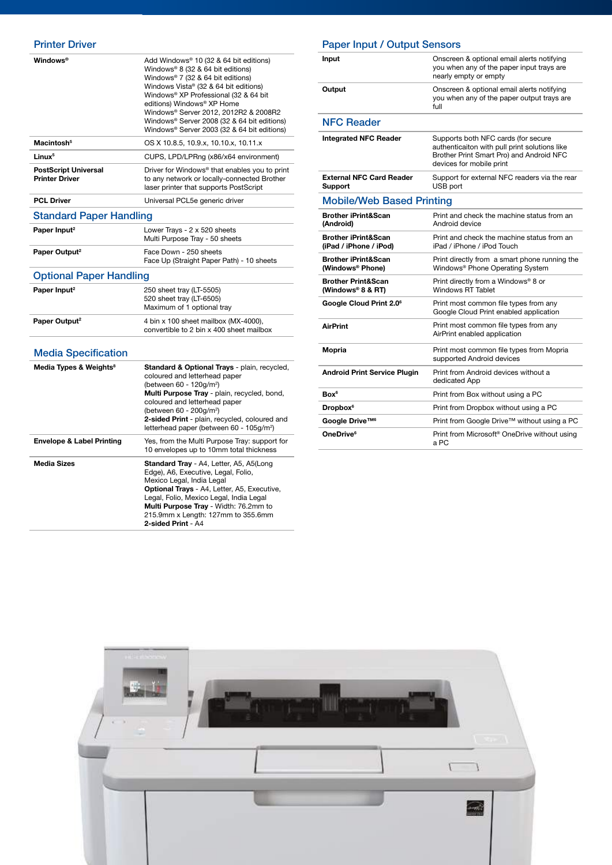| <b>Windows</b> <sup>®</sup>                          | Add Windows <sup>®</sup> 10 (32 & 64 bit editions)<br>Windows <sup>®</sup> 8 (32 & 64 bit editions)<br>Windows® 7 (32 & 64 bit editions)<br>Windows Vista® (32 & 64 bit editions)<br>Windows® XP Professional (32 & 64 bit<br>editions) Windows® XP Home<br>Windows® Server 2012, 2012R2 & 2008R2<br>Windows® Server 2008 (32 & 64 bit editions)<br>Windows® Server 2003 (32 & 64 bit editions) |
|------------------------------------------------------|-------------------------------------------------------------------------------------------------------------------------------------------------------------------------------------------------------------------------------------------------------------------------------------------------------------------------------------------------------------------------------------------------|
| Macintosh <sup>5</sup>                               | OS X 10.8.5, 10.9.x, 10.10.x, 10.11.x                                                                                                                                                                                                                                                                                                                                                           |
| Linux <sup>5</sup>                                   | CUPS, LPD/LPRng (x86/x64 environment)                                                                                                                                                                                                                                                                                                                                                           |
| <b>PostScript Universal</b><br><b>Printer Driver</b> | Driver for Windows <sup>®</sup> that enables you to print<br>to any network or locally-connected Brother<br>laser printer that supports PostScript                                                                                                                                                                                                                                              |
| <b>PCL Driver</b>                                    | Universal PCL5e generic driver                                                                                                                                                                                                                                                                                                                                                                  |
| <b>Standard Paper Handling</b>                       |                                                                                                                                                                                                                                                                                                                                                                                                 |
| Paper Input <sup>2</sup>                             | Lower Trays - 2 x 520 sheets<br>Multi Purpose Tray - 50 sheets                                                                                                                                                                                                                                                                                                                                  |
| Paper Output <sup>2</sup>                            | Face Down - 250 sheets<br>Face Up (Straight Paper Path) - 10 sheets                                                                                                                                                                                                                                                                                                                             |
| <b>Optional Paper Handling</b>                       |                                                                                                                                                                                                                                                                                                                                                                                                 |
| Paper Input <sup>2</sup>                             | 250 sheet tray (LT-5505)<br>520 sheet tray (LT-6505)<br>Maximum of 1 optional tray                                                                                                                                                                                                                                                                                                              |
| Paper Output <sup>2</sup>                            | 4 bin x 100 sheet mailbox (MX-4000),<br>convertible to 2 bin x 400 sheet mailbox                                                                                                                                                                                                                                                                                                                |
| <b>Media Specification</b>                           |                                                                                                                                                                                                                                                                                                                                                                                                 |

| Media Types & Weights <sup>8</sup>   | Standard & Optional Trays - plain, recycled,<br>coloured and letterhead paper<br>(between 60 - 120g/m <sup>2</sup> )<br>Multi Purpose Tray - plain, recycled, bond,<br>coloured and letterhead paper<br>(between 60 - 200g/m <sup>2</sup> )<br>2-sided Print - plain, recycled, coloured and<br>letterhead paper (between 60 - 105g/m <sup>2</sup> ) |
|--------------------------------------|------------------------------------------------------------------------------------------------------------------------------------------------------------------------------------------------------------------------------------------------------------------------------------------------------------------------------------------------------|
| <b>Envelope &amp; Label Printing</b> | Yes, from the Multi Purpose Tray: support for<br>10 envelopes up to 10mm total thickness                                                                                                                                                                                                                                                             |
| <b>Media Sizes</b>                   | Standard Tray - A4, Letter, A5, A5(Long<br>Edge), A6, Executive, Legal, Folio,<br>Mexico Legal, India Legal<br><b>Optional Trays - A4, Letter, A5, Executive,</b><br>Legal, Folio, Mexico Legal, India Legal<br>Multi Purpose Tray - Width: 76.2mm to<br>215.9mm x Length: 127mm to 355.6mm<br>2-sided Print - A4                                    |

| <b>Paper Input / Output Sensors</b>                      |                                                                                                                                                              |
|----------------------------------------------------------|--------------------------------------------------------------------------------------------------------------------------------------------------------------|
| Input                                                    | Onscreen & optional email alerts notifying<br>you when any of the paper input trays are<br>nearly empty or empty                                             |
| Output                                                   | Onscreen & optional email alerts notifying<br>you when any of the paper output trays are<br>full                                                             |
| <b>NFC Reader</b>                                        |                                                                                                                                                              |
| <b>Integrated NFC Reader</b>                             | Supports both NFC cards (for secure<br>authenticaiton with pull print solutions like<br>Brother Print Smart Pro) and Android NFC<br>devices for mobile print |
| <b>External NFC Card Reader</b><br><b>Support</b>        | Support for external NFC readers via the rear<br>USB port                                                                                                    |
| <b>Mobile/Web Based Printing</b>                         |                                                                                                                                                              |
| <b>Brother iPrint&amp;Scan</b><br>(Android)              | Print and check the machine status from an<br>Android device                                                                                                 |
| <b>Brother iPrint&amp;Scan</b><br>(iPad / iPhone / iPod) | Print and check the machine status from an<br>iPad / iPhone / iPod Touch                                                                                     |
| <b>Brother iPrint&amp;Scan</b><br>(Windows® Phone)       | Print directly from a smart phone running the<br>Windows <sup>®</sup> Phone Operating System                                                                 |
| <b>Brother Print&amp;Scan</b><br>(Windows® 8 & RT)       | Print directly from a Windows® 8 or<br>Windows RT Tablet                                                                                                     |
| Google Cloud Print 2.0 <sup>6</sup>                      | Print most common file types from any<br>Google Cloud Print enabled application                                                                              |
| <b>AirPrint</b>                                          | Print most common file types from any<br>AirPrint enabled application                                                                                        |
| <b>Mopria</b>                                            | Print most common file types from Mopria<br>supported Android devices                                                                                        |
| <b>Android Print Service Plugin</b>                      | Print from Android devices without a<br>dedicated App                                                                                                        |
| Box <sup>6</sup>                                         | Print from Box without using a PC                                                                                                                            |
| Dropbox <sup>6</sup>                                     | Print from Dropbox without using a PC                                                                                                                        |

Google Drive™<sup>6</sup> Print from Google Drive™ without using a PC **OneDrive**<sup>6</sup> **Print from Microsoft<sup>®</sup> OneDrive without using** a PC